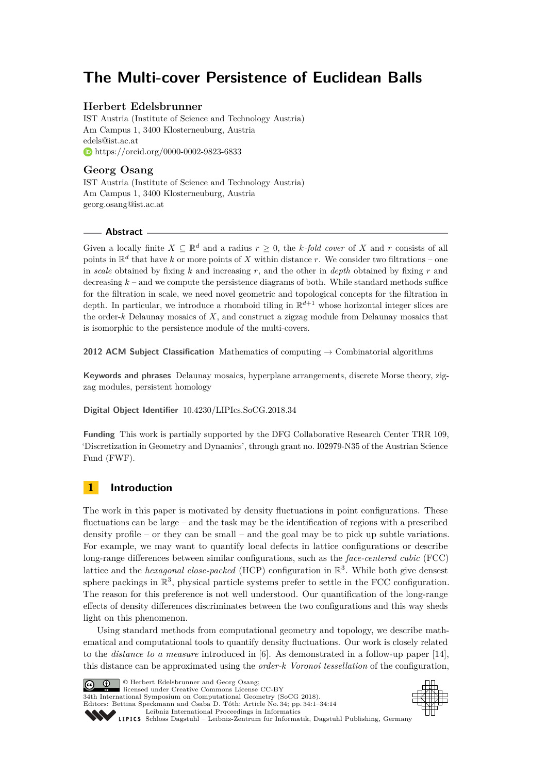# **The Multi-cover Persistence of Euclidean Balls**

### **Herbert Edelsbrunner**

IST Austria (Institute of Science and Technology Austria) Am Campus 1, 3400 Klosterneuburg, Austria [edels@ist.ac.at](mailto:edels@ist.ac.at) <https://orcid.org/0000-0002-9823-6833>

### **Georg Osang**

IST Austria (Institute of Science and Technology Austria) Am Campus 1, 3400 Klosterneuburg, Austria [georg.osang@ist.ac.at](mailto:georg.osang@ist.ac.at)

### **Abstract**

Given a locally finite  $X \subseteq \mathbb{R}^d$  and a radius  $r \geq 0$ , the *k-fold cover* of *X* and *r* consists of all points in R *d* that have *k* or more points of *X* within distance *r*. We consider two filtrations – one in *scale* obtained by fixing *k* and increasing *r*, and the other in *depth* obtained by fixing *r* and decreasing  $k$  – and we compute the persistence diagrams of both. While standard methods suffice for the filtration in scale, we need novel geometric and topological concepts for the filtration in depth. In particular, we introduce a rhomboid tiling in R *<sup>d</sup>*+1 whose horizontal integer slices are the order-*k* Delaunay mosaics of *X*, and construct a zigzag module from Delaunay mosaics that is isomorphic to the persistence module of the multi-covers.

**2012 ACM Subject Classification** Mathematics of computing → Combinatorial algorithms

**Keywords and phrases** Delaunay mosaics, hyperplane arrangements, discrete Morse theory, zigzag modules, persistent homology

### **Digital Object Identifier** [10.4230/LIPIcs.SoCG.2018.34](http://dx.doi.org/10.4230/LIPIcs.SoCG.2018.34)

**Funding** This work is partially supported by the DFG Collaborative Research Center TRR 109, 'Discretization in Geometry and Dynamics', through grant no. I02979-N35 of the Austrian Science Fund (FWF).

## **1 Introduction**

The work in this paper is motivated by density fluctuations in point configurations. These fluctuations can be large – and the task may be the identification of regions with a prescribed density profile – or they can be small – and the goal may be to pick up subtle variations. For example, we may want to quantify local defects in lattice configurations or describe long-range differences between similar configurations, such as the *face-centered cubic* (FCC) lattice and the *hexagonal close-packed* (HCP) configuration in  $\mathbb{R}^3$ . While both give densest sphere packings in  $\mathbb{R}^3$ , physical particle systems prefer to settle in the FCC configuration. The reason for this preference is not well understood. Our quantification of the long-range effects of density differences discriminates between the two configurations and this way sheds light on this phenomenon.

Using standard methods from computational geometry and topology, we describe mathematical and computational tools to quantify density fluctuations. Our work is closely related to the *distance to a measure* introduced in [\[6\]](#page-13-0). As demonstrated in a follow-up paper [\[14\]](#page-13-1), this distance can be approximated using the *order-k Voronoi tessellation* of the configuration,



© Herbert Edelsbrunner and Georg Osang; licensed under Creative Commons License CC-BY 34th International Symposium on Computational Geometry (SoCG 2018). Editors: Bettina Speckmann and Csaba D. Tóth; Article No. 34; pp. 34:1–34[:14](#page-13-2) [Leibniz International Proceedings in Informatics](http://www.dagstuhl.de/lipics/)



[Schloss Dagstuhl – Leibniz-Zentrum für Informatik, Dagstuhl Publishing, Germany](http://www.dagstuhl.de)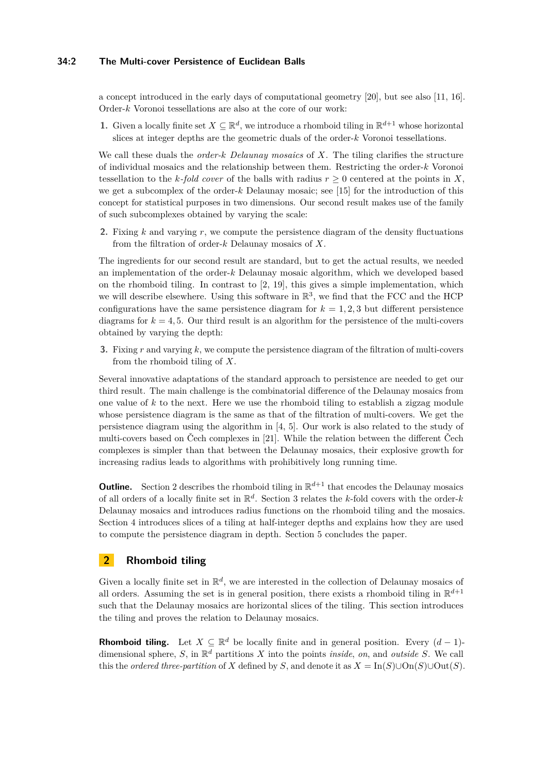### **34:2 The Multi-cover Persistence of Euclidean Balls**

a concept introduced in the early days of computational geometry [\[20\]](#page-13-3), but see also [\[11,](#page-13-4) [16\]](#page-13-5). Order-*k* Voronoi tessellations are also at the core of our work:

**1.** Given a locally finite set  $X \subseteq \mathbb{R}^d$ , we introduce a rhomboid tiling in  $\mathbb{R}^{d+1}$  whose horizontal slices at integer depths are the geometric duals of the order-*k* Voronoi tessellations.

We call these duals the *order-k Delaunay mosaics* of *X*. The tiling clarifies the structure of individual mosaics and the relationship between them. Restricting the order-*k* Voronoi tessellation to the *k*-fold cover of the balls with radius  $r \geq 0$  centered at the points in X, we get a subcomplex of the order-*k* Delaunay mosaic; see [\[15\]](#page-13-6) for the introduction of this concept for statistical purposes in two dimensions. Our second result makes use of the family of such subcomplexes obtained by varying the scale:

**2.** Fixing *k* and varying *r*, we compute the persistence diagram of the density fluctuations from the filtration of order-*k* Delaunay mosaics of *X*.

The ingredients for our second result are standard, but to get the actual results, we needed an implementation of the order-*k* Delaunay mosaic algorithm, which we developed based on the rhomboid tiling. In contrast to [\[2,](#page-13-7) [19\]](#page-13-8), this gives a simple implementation, which we will describe elsewhere. Using this software in  $\mathbb{R}^3$ , we find that the FCC and the HCP configurations have the same persistence diagram for  $k = 1, 2, 3$  but different persistence diagrams for  $k = 4, 5$ . Our third result is an algorithm for the persistence of the multi-covers obtained by varying the depth:

**3.** Fixing *r* and varying *k*, we compute the persistence diagram of the filtration of multi-covers from the rhomboid tiling of *X*.

Several innovative adaptations of the standard approach to persistence are needed to get our third result. The main challenge is the combinatorial difference of the Delaunay mosaics from one value of *k* to the next. Here we use the rhomboid tiling to establish a zigzag module whose persistence diagram is the same as that of the filtration of multi-covers. We get the persistence diagram using the algorithm in [\[4,](#page-13-9) [5\]](#page-13-10). Our work is also related to the study of multi-covers based on Čech complexes in [\[21\]](#page-13-11). While the relation between the different Čech complexes is simpler than that between the Delaunay mosaics, their explosive growth for increasing radius leads to algorithms with prohibitively long running time.

**Outline.** Section [2](#page-1-0) describes the rhomboid tiling in  $\mathbb{R}^{d+1}$  that encodes the Delaunay mosaics of all orders of a locally finite set in R *d* . Section [3](#page-5-0) relates the *k*-fold covers with the order-*k* Delaunay mosaics and introduces radius functions on the rhomboid tiling and the mosaics. Section [4](#page-8-0) introduces slices of a tiling at half-integer depths and explains how they are used to compute the persistence diagram in depth. Section [5](#page-12-0) concludes the paper.

### <span id="page-1-0"></span>**2 Rhomboid tiling**

Given a locally finite set in  $\mathbb{R}^d$ , we are interested in the collection of Delaunay mosaics of all orders. Assuming the set is in general position, there exists a rhomboid tiling in  $\mathbb{R}^{d+1}$ such that the Delaunay mosaics are horizontal slices of the tiling. This section introduces the tiling and proves the relation to Delaunay mosaics.

**Rhomboid tiling.** Let  $X \subseteq \mathbb{R}^d$  be locally finite and in general position. Every  $(d-1)$ dimensional sphere, *S*, in R *<sup>d</sup>* partitions *X* into the points *inside*, *on*, and *outside S*. We call this the *ordered three-partition* of *X* defined by *S*, and denote it as  $X = \text{In}(S) \cup \text{On}(S) \cup \text{Out}(S)$ .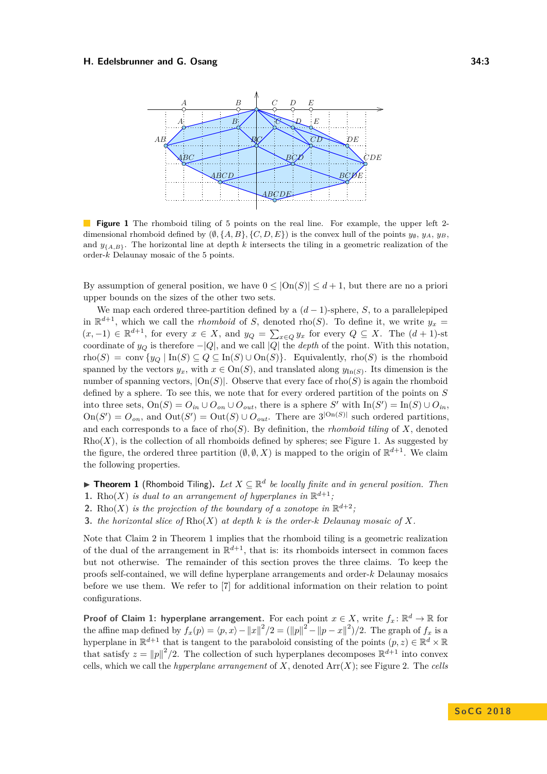<span id="page-2-0"></span>

**Figure 1** The rhomboid tiling of 5 points on the real line. For example, the upper left 2dimensional rhomboid defined by  $(\emptyset, \{A, B\}, \{C, D, E\})$  is the convex hull of the points  $y_{\emptyset}, y_A, y_B$ , and  $y_{\{A,B\}}$ . The horizontal line at depth *k* intersects the tiling in a geometric realization of the order-*k* Delaunay mosaic of the 5 points.

By assumption of general position, we have  $0 \leq |On(S)| \leq d+1$ , but there are no a priori upper bounds on the sizes of the other two sets.

We map each ordered three-partition defined by a  $(d-1)$ -sphere, *S*, to a parallelepiped in  $\mathbb{R}^{d+1}$ , which we call the *rhomboid* of *S*, denoted rho(*S*). To define it, we write  $y_x =$  $(x, -1)$  ∈  $\mathbb{R}^{d+1}$ , for every  $x \in X$ , and  $y_Q = \sum_{x \in Q} y_x$  for every  $Q \subseteq X$ . The  $(d+1)$ -st coordinate of  $y_Q$  is therefore  $-|Q|$ , and we call  $|Q|$  the *depth* of the point. With this notation, rho(*S*) = conv { $y_Q$  | In(*S*)  $\subseteq$  *Q*  $\subseteq$  In(*S*)  $\cup$  On(*S*)}. Equivalently, rho(*S*) is the rhomboid spanned by the vectors  $y_x$ , with  $x \in \text{On}(S)$ , and translated along  $y_{\text{In}(S)}$ . Its dimension is the number of spanning vectors,  $|On(S)|$ . Observe that every face of rho(*S*) is again the rhomboid defined by a sphere. To see this, we note that for every ordered partition of the points on *S* into three sets,  $On(S) = O_{in} \cup O_{on} \cup O_{out}$ , there is a sphere *S'* with  $In(S') = In(S) \cup O_{in}$ ,  $\text{On}(S') = O_{\text{on}}$ , and  $\text{Out}(S') = \text{Out}(S) \cup O_{\text{out}}$ . There are  $3^{|\text{On}(S)|}$  such ordered partitions, and each corresponds to a face of  $\text{rho}(S)$ . By definition, the *rhomboid tiling* of *X*, denoted  $Rho(X)$ , is the collection of all rhomboids defined by spheres; see Figure [1.](#page-2-0) As suggested by the figure, the ordered three partition  $(\emptyset, \emptyset, X)$  is mapped to the origin of  $\mathbb{R}^{d+1}$ . We claim the following properties.

<span id="page-2-1"></span>**Findmark 1** (Rhomboid Tiling). Let  $X \subseteq \mathbb{R}^d$  be locally finite and in general position. Then

- **1.** Rho(X) *is dual to an arrangement of hyperplanes in*  $\mathbb{R}^{d+1}$ ;
- **2.** Rho(*X*) *is the projection of the boundary of a zonotope in*  $\mathbb{R}^{d+2}$ ;
- **3.** *the horizontal slice of* Rho(*X*) *at depth k is the order-k Delaunay mosaic of X.*

Note that Claim 2 in Theorem [1](#page-2-1) implies that the rhomboid tiling is a geometric realization of the dual of the arrangement in  $\mathbb{R}^{d+1}$ , that is: its rhomboids intersect in common faces but not otherwise. The remainder of this section proves the three claims. To keep the proofs self-contained, we will define hyperplane arrangements and order-*k* Delaunay mosaics before we use them. We refer to [\[7\]](#page-13-12) for additional information on their relation to point configurations.

**Proof of Claim 1: hyperplane arrangement.** For each point  $x \in X$ , write  $f_x: \mathbb{R}^d \to \mathbb{R}$  for the affine map defined by  $f_x(p) = \langle p, x \rangle - ||x||^2/2 = (||p||^2 - ||p - x||^2)/2$ . The graph of  $f_x$  is a hyperplane in  $\mathbb{R}^{d+1}$  that is tangent to the paraboloid consisting of the points  $(p, z) \in \mathbb{R}^d \times \mathbb{R}$ that satisfy  $z = ||p||^2/2$ . The collection of such hyperplanes decomposes  $\mathbb{R}^{d+1}$  into convex cells, which we call the *hyperplane arrangement* of  $X$ , denoted  $\text{Arr}(X)$ ; see Figure [2.](#page-4-0) The *cells*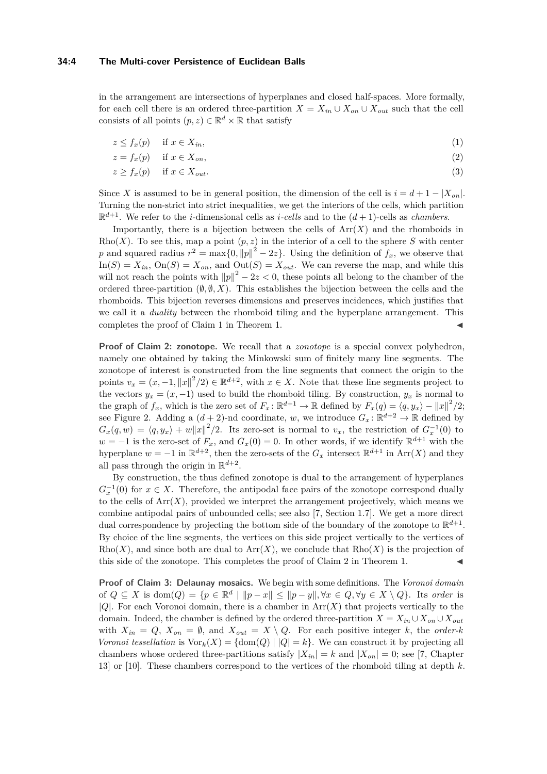in the arrangement are intersections of hyperplanes and closed half-spaces. More formally, for each cell there is an ordered three-partition  $X = X_{in} \cup X_{on} \cup X_{out}$  such that the cell consists of all points  $(p, z) \in \mathbb{R}^d \times \mathbb{R}$  that satisfy

$$
z \le f_x(p) \quad \text{if } x \in X_{in}, \tag{1}
$$

$$
z = f_x(p) \quad \text{if } x \in X_{on}, \tag{2}
$$

$$
z \ge f_x(p) \quad \text{if } x \in X_{out}.\tag{3}
$$

Since *X* is assumed to be in general position, the dimension of the cell is  $i = d + 1 - |X_{on}|$ . Turning the non-strict into strict inequalities, we get the interiors of the cells, which partition  $\mathbb{R}^{d+1}$ . We refer to the *i*-dimensional cells as *i*-cells and to the  $(d+1)$ -cells as *chambers*.

Importantly, there is a bijection between the cells of  $\text{Arr}(X)$  and the rhomboids in Rho(*X*). To see this, map a point  $(p, z)$  in the interior of a cell to the sphere *S* with center *p* and squared radius  $r^2 = \max\{0, ||p||^2 - 2z\}$ . Using the definition of  $f_x$ , we observe that  $In(S) = X_{in}$ ,  $On(S) = X_{on}$ , and  $Out(S) = X_{out}$ . We can reverse the map, and while this will not reach the points with  $||p||^2 - 2z < 0$ , these points all belong to the chamber of the ordered three-partition  $(\emptyset, \emptyset, X)$ . This establishes the bijection between the cells and the rhomboids. This bijection reverses dimensions and preserves incidences, which justifies that we call it a *duality* between the rhomboid tiling and the hyperplane arrangement. This completes the proof of Claim 1 in Theorem [1.](#page-2-1)

**Proof of Claim 2: zonotope.** We recall that a *zonotope* is a special convex polyhedron, namely one obtained by taking the Minkowski sum of finitely many line segments. The zonotope of interest is constructed from the line segments that connect the origin to the points  $v_x = (x, -1, ||x||^2/2) \in \mathbb{R}^{d+2}$ , with  $x \in X$ . Note that these line segments project to the vectors  $y_x = (x, -1)$  used to build the rhomboid tiling. By construction,  $y_x$  is normal to the graph of  $f_x$ , which is the zero set of  $F_x: \mathbb{R}^{d+1} \to \mathbb{R}$  defined by  $F_x(q) = \langle q, y_x \rangle - ||x||^2/2$ ; see Figure [2.](#page-4-0) Adding a  $(d+2)$ -nd coordinate, *w*, we introduce  $G_x: \mathbb{R}^{d+2} \to \mathbb{R}$  defined by  $G_x(q, w) = \langle q, y_x \rangle + w ||x||^2/2$ . Its zero-set is normal to  $v_x$ , the restriction of  $G_x^{-1}(0)$  to *w* = −1 is the zero-set of  $F_x$ , and  $G_x(0) = 0$ . In other words, if we identify  $\mathbb{R}^{d+1}$  with the hyperplane  $w = -1$  in  $\mathbb{R}^{d+2}$ , then the zero-sets of the  $G_x$  intersect  $\mathbb{R}^{d+1}$  in Arr $(X)$  and they all pass through the origin in  $\mathbb{R}^{d+2}$ .

By construction, the thus defined zonotope is dual to the arrangement of hyperplanes  $G_x^{-1}(0)$  for  $x \in X$ . Therefore, the antipodal face pairs of the zonotope correspond dually to the cells of  $Arr(X)$ , provided we interpret the arrangement projectively, which means we combine antipodal pairs of unbounded cells; see also [\[7,](#page-13-12) Section 1.7]. We get a more direct dual correspondence by projecting the bottom side of the boundary of the zonotope to  $\mathbb{R}^{d+1}$ . By choice of the line segments, the vertices on this side project vertically to the vertices of  $Rho(X)$ , and since both are dual to  $Arr(X)$ , we conclude that  $Rho(X)$  is the projection of this side of the zonotope. This completes the proof of Claim 2 in Theorem [1.](#page-2-1)

**Proof of Claim 3: Delaunay mosaics.** We begin with some definitions. The *Voronoi domain* of  $Q \subseteq X$  is  $\text{dom}(Q) = \{p \in \mathbb{R}^d \mid ||p-x|| \le ||p-y||, \forall x \in Q, \forall y \in X \setminus Q\}$ . Its *order* is |*Q*|. For each Voronoi domain, there is a chamber in Arr(*X*) that projects vertically to the domain. Indeed, the chamber is defined by the ordered three-partition  $X = X_{in} \cup X_{on} \cup X_{out}$ with  $X_{in} = Q$ ,  $X_{on} = \emptyset$ , and  $X_{out} = X \setminus Q$ . For each positive integer *k*, the *order-k Voronoi tessellation* is  $\text{Vor}_k(X) = \{\text{dom}(Q) \mid |Q| = k\}$ . We can construct it by projecting all chambers whose ordered three-partitions satisfy  $|X_{in}| = k$  and  $|X_{on}| = 0$ ; see [\[7,](#page-13-12) Chapter 13] or [\[10\]](#page-13-13). These chambers correspond to the vertices of the rhomboid tiling at depth *k*.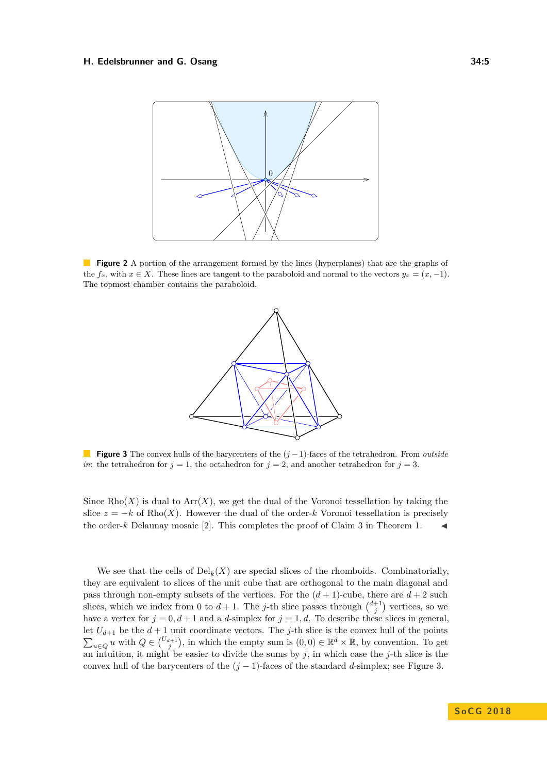<span id="page-4-0"></span>

<span id="page-4-1"></span>**Figure 2** A portion of the arrangement formed by the lines (hyperplanes) that are the graphs of the  $f_x$ , with  $x \in X$ . These lines are tangent to the paraboloid and normal to the vectors  $y_x = (x, -1)$ . The topmost chamber contains the paraboloid.



**Figure 3** The convex hulls of the barycenters of the (*j* −1)-faces of the tetrahedron. From *outside in*: the tetrahedron for  $j = 1$ , the octahedron for  $j = 2$ , and another tetrahedron for  $j = 3$ .

Since  $Rho(X)$  is dual to  $Arr(X)$ , we get the dual of the Voronoi tessellation by taking the slice  $z = -k$  of Rho(X). However the dual of the order- $k$  Voronoi tessellation is precisely the order-*k* Delaunay mosaic [\[2\]](#page-13-7). This completes the proof of Claim 3 in Theorem [1.](#page-2-1)

We see that the cells of  $\text{Del}_k(X)$  are special slices of the rhomboids. Combinatorially, they are equivalent to slices of the unit cube that are orthogonal to the main diagonal and pass through non-empty subsets of the vertices. For the  $(d+1)$ -cube, there are  $d+2$  such slices, which we index from 0 to  $d+1$ . The *j*-th slice passes through  $\binom{d+1}{j}$  vertices, so we have a vertex for  $j = 0, d+1$  and a *d*-simplex for  $j = 1, d$ . To describe these slices in general, let  $U_{d+1}$  be the  $d+1$  unit coordinate vectors. The *j*-th slice is the convex hull of the points  $\sum_{u\in Q} u$  with  $Q \in {U_{d+1} \choose j}$ , in which the empty sum is  $(0,0) \in \mathbb{R}^d \times \mathbb{R}$ , by convention. To get an intuition, it might be easier to divide the sums by  $j$ , in which case the  $j$ -th slice is the convex hull of the barycenters of the  $(j-1)$ -faces of the standard *d*-simplex; see Figure [3.](#page-4-1)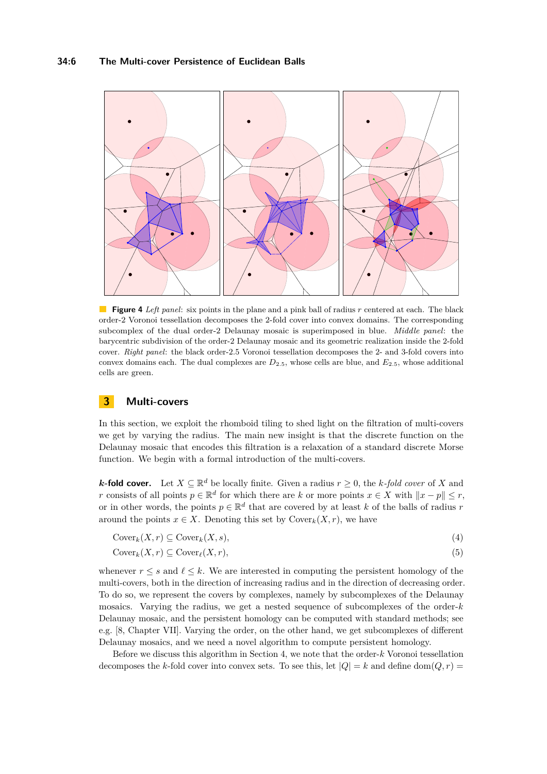<span id="page-5-1"></span>

**Figure 4** *Left panel*: six points in the plane and a pink ball of radius *r* centered at each. The black order-2 Voronoi tessellation decomposes the 2-fold cover into convex domains. The corresponding subcomplex of the dual order-2 Delaunay mosaic is superimposed in blue. *Middle panel*: the barycentric subdivision of the order-2 Delaunay mosaic and its geometric realization inside the 2-fold cover. *Right panel*: the black order-2*.*5 Voronoi tessellation decomposes the 2- and 3-fold covers into convex domains each. The dual complexes are *D*2*.*5, whose cells are blue, and *E*2*.*5, whose additional cells are green.

### <span id="page-5-0"></span>**3 Multi-covers**

In this section, we exploit the rhomboid tiling to shed light on the filtration of multi-covers we get by varying the radius. The main new insight is that the discrete function on the Delaunay mosaic that encodes this filtration is a relaxation of a standard discrete Morse function. We begin with a formal introduction of the multi-covers.

*k***-fold cover.** Let  $X \subseteq \mathbb{R}^d$  be locally finite. Given a radius  $r \geq 0$ , the *k*-fold cover of *X* and *r* consists of all points  $p \in \mathbb{R}^d$  for which there are *k* or more points  $x \in X$  with  $||x - p|| \leq r$ , or in other words, the points  $p \in \mathbb{R}^d$  that are covered by at least *k* of the balls of radius *r* around the points  $x \in X$ . Denoting this set by  $Cover_k(X, r)$ , we have

<span id="page-5-2"></span>
$$
Cover_k(X, r) \subseteq Cover_k(X, s),
$$
\n(4)

$$
Cover_k(X, r) \subseteq Cover_{\ell}(X, r),
$$
\n<sup>(5)</sup>

whenever  $r \leq s$  and  $\ell \leq k$ . We are interested in computing the persistent homology of the multi-covers, both in the direction of increasing radius and in the direction of decreasing order. To do so, we represent the covers by complexes, namely by subcomplexes of the Delaunay mosaics. Varying the radius, we get a nested sequence of subcomplexes of the order-*k* Delaunay mosaic, and the persistent homology can be computed with standard methods; see e.g. [\[8,](#page-13-14) Chapter VII]. Varying the order, on the other hand, we get subcomplexes of different Delaunay mosaics, and we need a novel algorithm to compute persistent homology.

Before we discuss this algorithm in Section [4,](#page-8-0) we note that the order-*k* Voronoi tessellation decomposes the *k*-fold cover into convex sets. To see this, let  $|Q| = k$  and define dom $(Q, r)$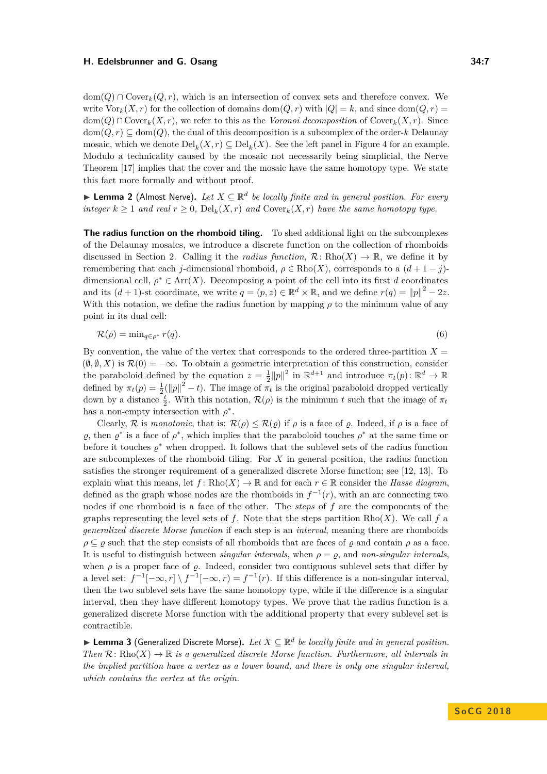$dom(Q) \cap Cover_k(Q,r)$ , which is an intersection of convex sets and therefore convex. We write  $\text{Vor}_k(X,r)$  for the collection of domains dom $(Q,r)$  with  $|Q|=k$ , and since dom $(Q,r)=$  $dom(Q) ∩ Cover_k(X, r)$ , we refer to this as the *Voronoi decomposition* of Cover<sub>k</sub> $(X, r)$ . Since  $dom(Q, r) \subseteq dom(Q)$ , the dual of this decomposition is a subcomplex of the order-*k* Delaunay mosaic, which we denote  $\mathrm{Del}_k(X,r) \subseteq \mathrm{Del}_k(X)$ . See the left panel in Figure [4](#page-5-1) for an example. Modulo a technicality caused by the mosaic not necessarily being simplicial, the Nerve Theorem [\[17\]](#page-13-15) implies that the cover and the mosaic have the same homotopy type. We state this fact more formally and without proof.

<span id="page-6-0"></span>▶ Lemma 2 (Almost Nerve). Let  $X \subseteq \mathbb{R}^d$  be locally finite and in general position. For every *integer*  $k \geq 1$  *and real*  $r \geq 0$ ,  $\text{Del}_k(X,r)$  *and*  $\text{Cover}_k(X,r)$  *have the same homotopy type.* 

**The radius function on the rhomboid tiling.** To shed additional light on the subcomplexes of the Delaunay mosaics, we introduce a discrete function on the collection of rhomboids discussed in Section [2.](#page-1-0) Calling it the *radius function*,  $\mathcal{R} \colon \text{Rho}(X) \to \mathbb{R}$ , we define it by remembering that each *j*-dimensional rhomboid,  $\rho \in \text{Rho}(X)$ , corresponds to a  $(d+1-j)$ dimensional cell,  $\rho^* \in \text{Arr}(X)$ . Decomposing a point of the cell into its first *d* coordinates and its  $(d+1)$ -st coordinate, we write  $q = (p, z) \in \mathbb{R}^d \times \mathbb{R}$ , and we define  $r(q) = ||p||^2 - 2z$ . With this notation, we define the radius function by mapping  $\rho$  to the minimum value of any point in its dual cell:

$$
\mathcal{R}(\rho) = \min_{q \in \rho^*} r(q). \tag{6}
$$

By convention, the value of the vertex that corresponds to the ordered three-partition  $X =$  $(\emptyset, \emptyset, X)$  is  $\mathcal{R}(0) = -\infty$ . To obtain a geometric interpretation of this construction, consider the paraboloid defined by the equation  $z = \frac{1}{2} ||p||^2$  in  $\mathbb{R}^{d+1}$  and introduce  $\pi_t(p)$ :  $\mathbb{R}^d \to \mathbb{R}$ defined by  $\pi_t(p) = \frac{1}{2} (||p||^2 - t)$ . The image of  $\pi_t$  is the original paraboloid dropped vertically down by a distance  $\frac{t}{2}$ . With this notation,  $\mathcal{R}(\rho)$  is the minimum *t* such that the image of  $\pi_t$ has a non-empty intersection with  $\rho^*$ .

Clearly,  $\mathcal R$  is *monotonic*, that is:  $\mathcal R(\rho) \leq \mathcal R(\varrho)$  if  $\rho$  is a face of  $\varrho$ . Indeed, if  $\rho$  is a face of  $\varrho$ , then  $\varrho^*$  is a face of  $\rho^*$ , which implies that the paraboloid touches  $\rho^*$  at the same time or before it touches  $\varrho^*$  when dropped. It follows that the sublevel sets of the radius function are subcomplexes of the rhomboid tiling. For *X* in general position, the radius function satisfies the stronger requirement of a generalized discrete Morse function; see [\[12,](#page-13-16) [13\]](#page-13-17). To explain what this means, let  $f: \text{Rho}(X) \to \mathbb{R}$  and for each  $r \in \mathbb{R}$  consider the *Hasse diagram*. defined as the graph whose nodes are the rhomboids in  $f^{-1}(r)$ , with an arc connecting two nodes if one rhomboid is a face of the other. The *steps* of *f* are the components of the graphs representing the level sets of f. Note that the steps partition  $Rho(X)$ . We call f a *generalized discrete Morse function* if each step is an *interval*, meaning there are rhomboids  $\rho \subset \rho$  such that the step consists of all rhomboids that are faces of  $\rho$  and contain  $\rho$  as a face. It is useful to distinguish between *singular intervals*, when  $\rho = \rho$ , and *non-singular intervals*, when  $\rho$  is a proper face of  $\rho$ . Indeed, consider two contiguous sublevel sets that differ by a level set:  $f^{-1}[-\infty, r] \setminus f^{-1}[-\infty, r) = f^{-1}(r)$ . If this difference is a non-singular interval, then the two sublevel sets have the same homotopy type, while if the difference is a singular interval, then they have different homotopy types. We prove that the radius function is a generalized discrete Morse function with the additional property that every sublevel set is contractible.

<span id="page-6-1"></span>▶ Lemma 3 (Generalized Discrete Morse). Let  $X \subseteq \mathbb{R}^d$  be locally finite and in general position. *Then*  $\mathcal{R}$ : Rho $(X) \to \mathbb{R}$  *is a generalized discrete Morse function. Furthermore, all intervals in the implied partition have a vertex as a lower bound, and there is only one singular interval, which contains the vertex at the origin.*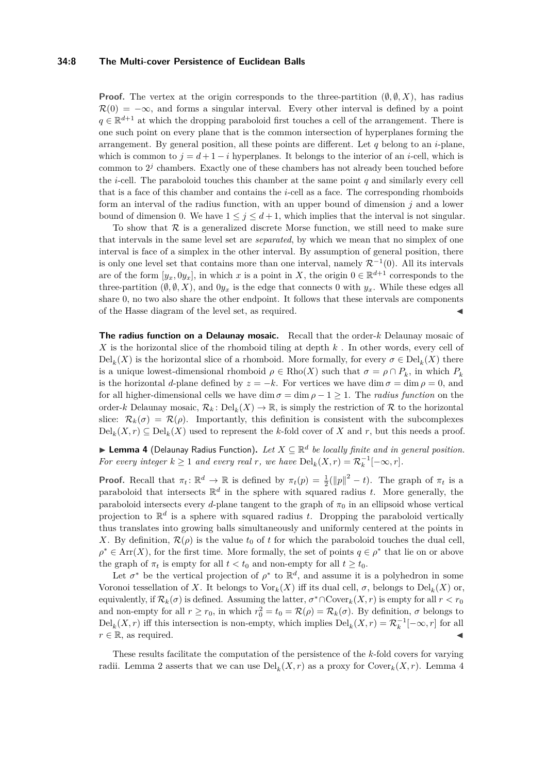#### **34:8 The Multi-cover Persistence of Euclidean Balls**

**Proof.** The vertex at the origin corresponds to the three-partition  $(\emptyset, \emptyset, X)$ , has radius  $\mathcal{R}(0) = -\infty$ , and forms a singular interval. Every other interval is defined by a point  $q \in \mathbb{R}^{d+1}$  at which the dropping paraboloid first touches a cell of the arrangement. There is one such point on every plane that is the common intersection of hyperplanes forming the arrangement. By general position, all these points are different. Let *q* belong to an *i*-plane, which is common to  $j = d + 1 - i$  hyperplanes. It belongs to the interior of an *i*-cell, which is common to  $2<sup>j</sup>$  chambers. Exactly one of these chambers has not already been touched before the *i*-cell. The paraboloid touches this chamber at the same point *q* and similarly every cell that is a face of this chamber and contains the *i*-cell as a face. The corresponding rhomboids form an interval of the radius function, with an upper bound of dimension *j* and a lower bound of dimension 0. We have  $1 \leq j \leq d+1$ , which implies that the interval is not singular.

To show that  $R$  is a generalized discrete Morse function, we still need to make sure that intervals in the same level set are *separated*, by which we mean that no simplex of one interval is face of a simplex in the other interval. By assumption of general position, there is only one level set that contains more than one interval, namely  $\mathcal{R}^{-1}(0)$ . All its intervals are of the form  $[y_x, 0y_x]$ , in which *x* is a point in *X*, the origin  $0 \in \mathbb{R}^{d+1}$  corresponds to the three-partition  $(\emptyset, \emptyset, X)$ , and  $0y_x$  is the edge that connects 0 with  $y_x$ . While these edges all share 0, no two also share the other endpoint. It follows that these intervals are components of the Hasse diagram of the level set, as required. J

**The radius function on a Delaunay mosaic.** Recall that the order-*k* Delaunay mosaic of *X* is the horizontal slice of the rhomboid tiling at depth *k* . In other words, every cell of  $\text{Del}_k(X)$  is the horizontal slice of a rhomboid. More formally, for every  $\sigma \in \text{Del}_k(X)$  there is a unique lowest-dimensional rhomboid  $\rho \in \text{Rho}(X)$  such that  $\sigma = \rho \cap P_k$ , in which  $P_k$ is the horizontal *d*-plane defined by  $z = -k$ . For vertices we have dim  $\sigma = \dim \rho = 0$ , and for all higher-dimensional cells we have dim  $\sigma = \dim \rho - 1 \geq 1$ . The *radius function* on the order-*k* Delaunay mosaic,  $\mathcal{R}_k$ : Del<sub>k</sub> $(X) \to \mathbb{R}$ , is simply the restriction of  $\mathcal R$  to the horizontal slice:  $\mathcal{R}_k(\sigma) = \mathcal{R}(\rho)$ . Importantly, this definition is consistent with the subcomplexes  $\text{Del}_k(X,r) \subseteq \text{Del}_k(X)$  used to represent the *k*-fold cover of X and r, but this needs a proof.

<span id="page-7-0"></span>▶ Lemma 4 (Delaunay Radius Function). Let  $X \subseteq \mathbb{R}^d$  be locally finite and in general position. *For every integer*  $k \geq 1$  *and every real*  $r$ *, we have*  $\text{Del}_k(X,r) = \mathcal{R}_k^{-1}[-\infty, r]$ *.* 

**Proof.** Recall that  $\pi_t: \mathbb{R}^d \to \mathbb{R}$  is defined by  $\pi_t(p) = \frac{1}{2}(\|p\|^2 - t)$ . The graph of  $\pi_t$  is a paraboloid that intersects  $\mathbb{R}^d$  in the sphere with squared radius *t*. More generally, the paraboloid intersects every *d*-plane tangent to the graph of  $\pi_0$  in an ellipsoid whose vertical projection to  $\mathbb{R}^d$  is a sphere with squared radius *t*. Dropping the paraboloid vertically thus translates into growing balls simultaneously and uniformly centered at the points in *X*. By definition,  $\mathcal{R}(\rho)$  is the value  $t_0$  of *t* for which the paraboloid touches the dual cell,  $\rho^* \in \text{Arr}(X)$ , for the first time. More formally, the set of points  $q \in \rho^*$  that lie on or above the graph of  $\pi_t$  is empty for all  $t < t_0$  and non-empty for all  $t \geq t_0$ .

Let  $\sigma^*$  be the vertical projection of  $\rho^*$  to  $\mathbb{R}^d$ , and assume it is a polyhedron in some Voronoi tessellation of *X*. It belongs to  $\text{Vor}_k(X)$  iff its dual cell,  $\sigma$ , belongs to  $\text{Del}_k(X)$  or, equivalently, if  $\mathcal{R}_k(\sigma)$  is defined. Assuming the latter,  $\sigma^* \cap \text{Cover}_k(X,r)$  is empty for all  $r < r_0$ and non-empty for all  $r \ge r_0$ , in which  $r_0^2 = t_0 = \mathcal{R}(\rho) = \mathcal{R}_k(\sigma)$ . By definition,  $\sigma$  belongs to  $\text{Del}_k(X,r)$  iff this intersection is non-empty, which implies  $\text{Del}_k(X,r) = \mathcal{R}_k^{-1}[-\infty, r]$  for all  $r \in \mathbb{R}$ , as required.

These results facilitate the computation of the persistence of the *k*-fold covers for varying radii. Lemma [2](#page-6-0) asserts that we can use  $\text{Del}_k(X,r)$  as a proxy for  $\text{Cover}_k(X,r)$ . Lemma [4](#page-7-0)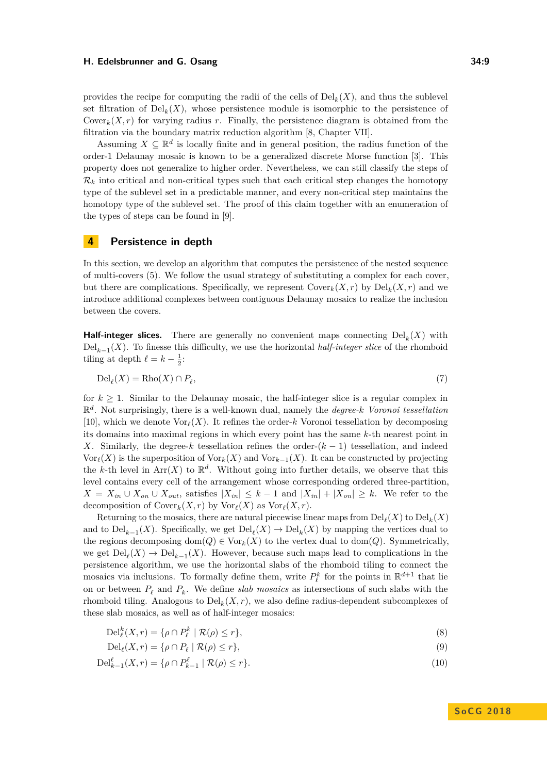provides the recipe for computing the radii of the cells of  $\text{Del}_k(X)$ , and thus the sublevel set filtration of  $\text{Del}_k(X)$ , whose persistence module is isomorphic to the persistence of Cover<sub>k</sub> $(X, r)$  for varying radius *r*. Finally, the persistence diagram is obtained from the filtration via the boundary matrix reduction algorithm [\[8,](#page-13-14) Chapter VII].

Assuming  $X \subseteq \mathbb{R}^d$  is locally finite and in general position, the radius function of the order-1 Delaunay mosaic is known to be a generalized discrete Morse function [\[3\]](#page-13-18). This property does not generalize to higher order. Nevertheless, we can still classify the steps of  $\mathcal{R}_k$  into critical and non-critical types such that each critical step changes the homotopy type of the sublevel set in a predictable manner, and every non-critical step maintains the homotopy type of the sublevel set. The proof of this claim together with an enumeration of the types of steps can be found in [\[9\]](#page-13-19).

### <span id="page-8-0"></span>**4 Persistence in depth**

In this section, we develop an algorithm that computes the persistence of the nested sequence of multi-covers [\(5\)](#page-5-2). We follow the usual strategy of substituting a complex for each cover, but there are complications. Specifically, we represent  $\text{Cover}_k(X,r)$  by  $\text{Del}_k(X,r)$  and we introduce additional complexes between contiguous Delaunay mosaics to realize the inclusion between the covers.

**Half-integer slices.** There are generally no convenient maps connecting  $\text{Del}_k(X)$  with Del*k*−<sup>1</sup> (*X*). To finesse this difficulty, we use the horizontal *half-integer slice* of the rhomboid tiling at depth  $\ell = k - \frac{1}{2}$ :

$$
\text{Del}_{\ell}(X) = \text{Rho}(X) \cap P_{\ell},\tag{7}
$$

for  $k > 1$ . Similar to the Delaunay mosaic, the half-integer slice is a regular complex in R *d* . Not surprisingly, there is a well-known dual, namely the *degree-k Voronoi tessellation* [\[10\]](#page-13-13), which we denote  $\text{Vor}_{\ell}(X)$ . It refines the order-*k* Voronoi tessellation by decomposing its domains into maximal regions in which every point has the same *k*-th nearest point in *X*. Similarly, the degree-*k* tessellation refines the order- $(k-1)$  tessellation, and indeed Vor<sub> $\ell$ </sub>(*X*) is the superposition of Vor<sub>*k*</sub>(*X*) and Vor<sub>*k*−1</sub>(*X*). It can be constructed by projecting the *k*-th level in  $Arr(X)$  to  $\mathbb{R}^d$ . Without going into further details, we observe that this level contains every cell of the arrangement whose corresponding ordered three-partition,  $X = X_{in} \cup X_{on} \cup X_{out}$ , satisfies  $|X_{in}| \leq k-1$  and  $|X_{in}| + |X_{on}| \geq k$ . We refer to the decomposition of  $\text{Cover}_k(X, r)$  by  $\text{Vor}_{\ell}(X)$  as  $\text{Vor}_{\ell}(X, r)$ .

Returning to the mosaics, there are natural piecewise linear maps from  $\mathrm{Del}_\ell(X)$  to  $\mathrm{Del}_k(X)$ and to  $\text{Del}_{k-1}(X)$ . Specifically, we get  $\text{Del}_\ell(X) \to \text{Del}_k(X)$  by mapping the vertices dual to the regions decomposing dom $(Q) \in \text{Vor}_k(X)$  to the vertex dual to dom $(Q)$ . Symmetrically, we get  $\text{Del}_\ell(X) \to \text{Del}_{k-1}(X)$ . However, because such maps lead to complications in the persistence algorithm, we use the horizontal slabs of the rhomboid tiling to connect the mosaics via inclusions. To formally define them, write  $P_{\ell}^{k}$  for the points in  $\mathbb{R}^{d+1}$  that lie on or between  $P_\ell$  and  $P_k$ . We define *slab mosaics* as intersections of such slabs with the rhomboid tiling. Analogous to  $\text{Del}_k(X,r)$ , we also define radius-dependent subcomplexes of these slab mosaics, as well as of half-integer mosaics:

$$
\mathrm{Del}_{\ell}^k(X,r) = \{ \rho \cap P_{\ell}^k \mid \mathcal{R}(\rho) \le r \},\tag{8}
$$

$$
\mathrm{Del}_{\ell}(X,r) = \{ \rho \cap P_{\ell} \mid \mathcal{R}(\rho) \le r \},\tag{9}
$$

$$
\text{Del}_{k-1}^{\ell}(X,r) = \{ \rho \cap P_{k-1}^{\ell} \mid \mathcal{R}(\rho) \le r \}. \tag{10}
$$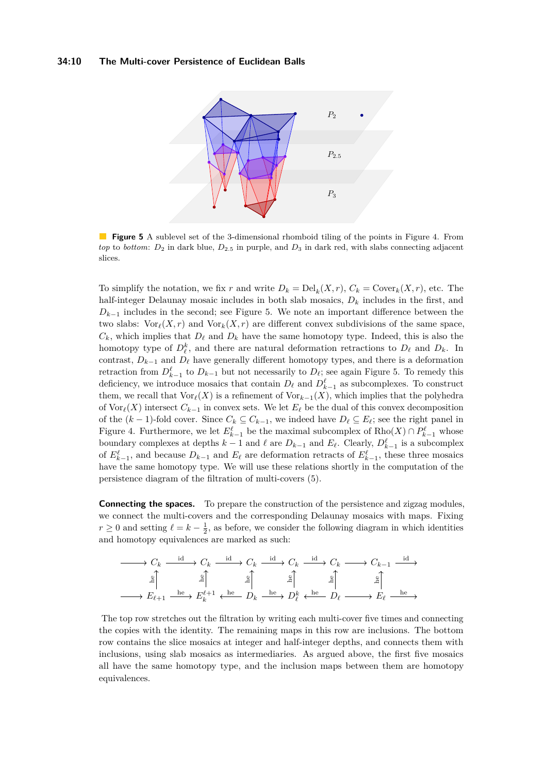<span id="page-9-0"></span>

**Figure 5** A sublevel set of the 3-dimensional rhomboid tiling of the points in Figure [4.](#page-5-1) From *top* to *bottom*:  $D_2$  in dark blue,  $D_{2.5}$  in purple, and  $D_3$  in dark red, with slabs connecting adjacent slices.

To simplify the notation, we fix *r* and write  $D_k = \text{Del}_k(X,r)$ ,  $C_k = \text{Cover}_k(X,r)$ , etc. The half-integer Delaunay mosaic includes in both slab mosaics, *D<sup>k</sup>* includes in the first, and  $D_{k-1}$  includes in the second; see Figure [5.](#page-9-0) We note an important difference between the two slabs:  $\text{Vor}_{\ell}(X, r)$  and  $\text{Vor}_{k}(X, r)$  are different convex subdivisions of the same space,  $C_k$ , which implies that  $D_\ell$  and  $D_k$  have the same homotopy type. Indeed, this is also the homotopy type of  $D_{\ell}^{k}$ , and there are natural deformation retractions to  $D_{\ell}$  and  $D_{k}$ . In contrast,  $D_{k-1}$  and  $D_{\ell}$  have generally different homotopy types, and there is a deformation retraction from  $D_{k-1}^{\ell}$  to  $D_{k-1}$  but not necessarily to  $D_{\ell}$ ; see again Figure [5.](#page-9-0) To remedy this deficiency, we introduce mosaics that contain  $D_{\ell}$  and  $D_{k-1}^{\ell}$  as subcomplexes. To construct them, we recall that  $\text{Vor}_{\ell}(X)$  is a refinement of  $\text{Vor}_{k-1}(X)$ , which implies that the polyhedra of  $\text{Vor}_{\ell}(X)$  intersect  $C_{k-1}$  in convex sets. We let  $E_{\ell}$  be the dual of this convex decomposition of the  $(k-1)$ -fold cover. Since  $C_k \subseteq C_{k-1}$ , we indeed have  $D_\ell \subseteq E_\ell$ ; see the right panel in Figure [4.](#page-5-1) Furthermore, we let  $E_{k-1}^{\ell}$  be the maximal subcomplex of  $\text{Rho}(X) \cap P_{k-1}^{\ell}$  whose boundary complexes at depths  $k-1$  and  $\ell$  are  $D_{k-1}$  and  $E_{\ell}$ . Clearly,  $D_{k-1}^{\ell}$  is a subcomplex of  $E_{k-1}^{\ell}$ , and because  $D_{k-1}$  and  $E_{\ell}$  are deformation retracts of  $E_{k-1}^{\ell}$ , these three mosaics have the same homotopy type. We will use these relations shortly in the computation of the persistence diagram of the filtration of multi-covers [\(5\)](#page-5-2).

**Connecting the spaces.** To prepare the construction of the persistence and zigzag modules, we connect the multi-covers and the corresponding Delaunay mosaics with maps. Fixing *r* ≥ 0 and setting  $\ell = k - \frac{1}{2}$ , as before, we consider the following diagram in which identities and homotopy equivalences are marked as such:

$$
\begin{array}{c}\n\longrightarrow C_k \xrightarrow{\text{id}} C_k \xrightarrow{\text{id}} C_k \xrightarrow{\text{id}} C_k \xrightarrow{\text{id}} C_k \xrightarrow{\text{id}} C_k \longrightarrow C_{k-1} \xrightarrow{\text{id}} \\
\downarrow \xrightarrow{\text{g}} \qquad \downarrow \xrightarrow{\text{g}} \qquad \downarrow \xrightarrow{\text{g}} \qquad \downarrow \xrightarrow{\text{g}} \qquad \downarrow \xrightarrow{\text{g}} \qquad \downarrow \xrightarrow{\text{g}} \qquad \downarrow \xrightarrow{\text{g}} \qquad \downarrow \xrightarrow{\text{g}} \qquad \downarrow \xrightarrow{\text{h} \text{e}} \qquad \downarrow \xrightarrow{\text{h} \text{e}} \qquad \downarrow \xrightarrow{\text{h} \text{e}} \qquad \downarrow \xrightarrow{\text{h} \text{e}} \qquad \downarrow \xrightarrow{\text{h} \text{e}} \qquad \downarrow \xrightarrow{\text{h} \text{e}} \qquad \downarrow \xrightarrow{\text{h} \text{e}} \qquad \downarrow \xrightarrow{\text{h} \text{e}} \qquad \downarrow \xrightarrow{\text{h} \text{e}} \qquad \downarrow \xrightarrow{\text{h} \text{e}} \qquad \downarrow \xrightarrow{\text{h} \text{e}} \qquad \downarrow \xrightarrow{\text{h} \text{e}} \qquad \downarrow \xrightarrow{\text{h} \text{e}} \qquad \downarrow \xrightarrow{\text{h} \text{e}} \qquad \downarrow \xrightarrow{\text{h} \text{e}} \qquad \downarrow \xrightarrow{\text{h} \text{e}} \qquad \downarrow \xrightarrow{\text{h} \text{e}} \qquad \downarrow \xrightarrow{\text{h} \text{e}} \qquad \downarrow \xrightarrow{\text{h} \text{e}} \qquad \downarrow \xrightarrow{\text{h} \text{e}} \qquad \downarrow \xrightarrow{\text{h} \text{e}} \qquad \downarrow \xrightarrow{\text{h} \text{e}} \qquad \downarrow \xrightarrow{\text{h} \text{e}} \qquad \downarrow \xrightarrow{\text{h} \text{e}} \qquad \downarrow \xrightarrow{\text{h} \text{e}} \qquad \downarrow \xrightarrow{\text{h} \text{e}} \qquad \downarrow \xrightarrow{\text{h} \text{e}} \qquad \downarrow \xrightarrow{\text{h} \text{e}} \qquad \downarrow \xrightarrow{\text{h} \text{e}} \qquad \downarrow \xrightarrow{\text{h} \text{e}} \qquad \downarrow \x
$$

The top row stretches out the filtration by writing each multi-cover five times and connecting the copies with the identity. The remaining maps in this row are inclusions. The bottom row contains the slice mosaics at integer and half-integer depths, and connects them with inclusions, using slab mosaics as intermediaries. As argued above, the first five mosaics all have the same homotopy type, and the inclusion maps between them are homotopy equivalences.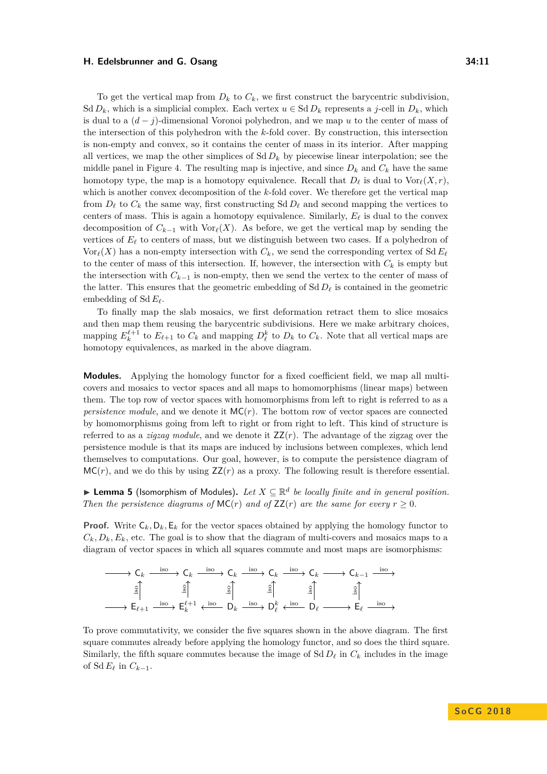To get the vertical map from  $D_k$  to  $C_k$ , we first construct the barycentric subdivision, Sd  $D_k$ , which is a simplicial complex. Each vertex  $u \in S \times D_k$  represents a *j*-cell in  $D_k$ , which is dual to a (*d* − *j*)-dimensional Voronoi polyhedron, and we map *u* to the center of mass of the intersection of this polyhedron with the *k*-fold cover. By construction, this intersection is non-empty and convex, so it contains the center of mass in its interior. After mapping all vertices, we map the other simplices of  $Sd D_k$  by piecewise linear interpolation; see the middle panel in Figure [4.](#page-5-1) The resulting map is injective, and since  $D_k$  and  $C_k$  have the same homotopy type, the map is a homotopy equivalence. Recall that  $D_\ell$  is dual to  $\text{Vor}_{\ell}(X, r)$ , which is another convex decomposition of the *k*-fold cover. We therefore get the vertical map from  $D_\ell$  to  $C_k$  the same way, first constructing Sd  $D_\ell$  and second mapping the vertices to centers of mass. This is again a homotopy equivalence. Similarly,  $E_\ell$  is dual to the convex decomposition of  $C_{k-1}$  with Vor<sub> $\ell$ </sub>(*X*). As before, we get the vertical map by sending the vertices of  $E_\ell$  to centers of mass, but we distinguish between two cases. If a polyhedron of  $\text{Vor}_{\ell}(X)$  has a non-empty intersection with  $C_k$ , we send the corresponding vertex of Sd  $E_{\ell}$ to the center of mass of this intersection. If, however, the intersection with  $C_k$  is empty but the intersection with  $C_{k-1}$  is non-empty, then we send the vertex to the center of mass of the latter. This ensures that the geometric embedding of  $Sd D_{\ell}$  is contained in the geometric embedding of Sd  $E_\ell$ .

To finally map the slab mosaics, we first deformation retract them to slice mosaics and then map them reusing the barycentric subdivisions. Here we make arbitrary choices, mapping  $E_k^{\ell+1}$  to  $E_{\ell+1}$  to  $C_k$  and mapping  $D_\ell^k$  to  $D_k$  to  $C_k$ . Note that all vertical maps are homotopy equivalences, as marked in the above diagram.

**Modules.** Applying the homology functor for a fixed coefficient field, we map all multicovers and mosaics to vector spaces and all maps to homomorphisms (linear maps) between them. The top row of vector spaces with homomorphisms from left to right is referred to as a *persistence module*, and we denote it  $MC(r)$ . The bottom row of vector spaces are connected by homomorphisms going from left to right or from right to left. This kind of structure is referred to as a *zigzag module*, and we denote it  $ZZ(r)$ . The advantage of the zigzag over the persistence module is that its maps are induced by inclusions between complexes, which lend themselves to computations. Our goal, however, is to compute the persistence diagram of  $MC(r)$ , and we do this by using  $ZZ(r)$  as a proxy. The following result is therefore essential.

**► Lemma 5** (Isomorphism of Modules). Let  $X \subseteq \mathbb{R}^d$  be locally finite and in general position. *Then the persistence diagrams of*  $MC(r)$  *and of*  $ZZ(r)$  *are the same for every*  $r \geq 0$ *.* 

**Proof.** Write  $C_k$ ,  $D_k$ ,  $E_k$  for the vector spaces obtained by applying the homology functor to  $C_k, D_k, E_k$ , etc. The goal is to show that the diagram of multi-covers and mosaics maps to a diagram of vector spaces in which all squares commute and most maps are isomorphisms:



To prove commutativity, we consider the five squares shown in the above diagram. The first square commutes already before applying the homology functor, and so does the third square. Similarly, the fifth square commutes because the image of Sd  $D_{\ell}$  in  $C_k$  includes in the image of Sd  $E_\ell$  in  $C_{k-1}$ .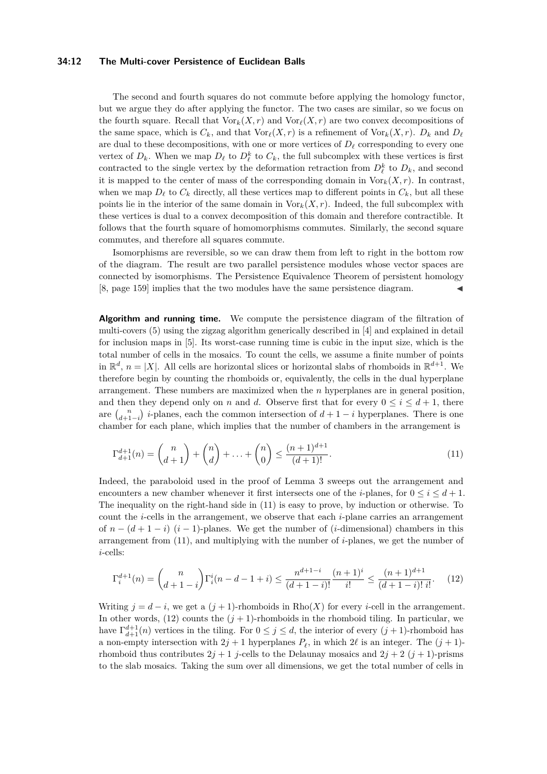#### **34:12 The Multi-cover Persistence of Euclidean Balls**

The second and fourth squares do not commute before applying the homology functor, but we argue they do after applying the functor. The two cases are similar, so we focus on the fourth square. Recall that  $\text{Vor}_k(X,r)$  and  $\text{Vor}_\ell(X,r)$  are two convex decompositions of the same space, which is  $C_k$ , and that  $\text{Vor}_{\ell}(X, r)$  is a refinement of  $\text{Vor}_k(X, r)$ .  $D_k$  and  $D_{\ell}$ are dual to these decompositions, with one or more vertices of  $D_\ell$  corresponding to every one vertex of  $D_k$ . When we map  $D_{\ell}$  to  $D_{\ell}^k$  to  $C_k$ , the full subcomplex with these vertices is first contracted to the single vertex by the deformation retraction from  $D_{\ell}^{k}$  to  $D_{k}$ , and second it is mapped to the center of mass of the corresponding domain in  $\text{Vor}_k(X,r)$ . In contrast, when we map  $D_{\ell}$  to  $C_k$  directly, all these vertices map to different points in  $C_k$ , but all these points lie in the interior of the same domain in  $\text{Vor}_k(X, r)$ . Indeed, the full subcomplex with these vertices is dual to a convex decomposition of this domain and therefore contractible. It follows that the fourth square of homomorphisms commutes. Similarly, the second square commutes, and therefore all squares commute.

Isomorphisms are reversible, so we can draw them from left to right in the bottom row of the diagram. The result are two parallel persistence modules whose vector spaces are connected by isomorphisms. The Persistence Equivalence Theorem of persistent homology [\[8,](#page-13-14) page 159] implies that the two modules have the same persistence diagram.

**Algorithm and running time.** We compute the persistence diagram of the filtration of multi-covers [\(5\)](#page-5-2) using the zigzag algorithm generically described in [\[4\]](#page-13-9) and explained in detail for inclusion maps in [\[5\]](#page-13-10). Its worst-case running time is cubic in the input size, which is the total number of cells in the mosaics. To count the cells, we assume a finite number of points in  $\mathbb{R}^d$ ,  $n = |X|$ . All cells are horizontal slices or horizontal slabs of rhomboids in  $\mathbb{R}^{d+1}$ . We therefore begin by counting the rhomboids or, equivalently, the cells in the dual hyperplane arrangement. These numbers are maximized when the *n* hyperplanes are in general position, and then they depend only on *n* and *d*. Observe first that for every  $0 \le i \le d+1$ , there are  $\binom{n}{d+1-i}$  *i*-planes, each the common intersection of  $d+1-i$  hyperplanes. There is one chamber for each plane, which implies that the number of chambers in the arrangement is

<span id="page-11-0"></span>
$$
\Gamma_{d+1}^{d+1}(n) = \binom{n}{d+1} + \binom{n}{d} + \ldots + \binom{n}{0} \le \frac{(n+1)^{d+1}}{(d+1)!}.\tag{11}
$$

Indeed, the paraboloid used in the proof of Lemma [3](#page-6-1) sweeps out the arrangement and encounters a new chamber whenever it first intersects one of the *i*-planes, for  $0 \le i \le d+1$ . The inequality on the right-hand side in [\(11\)](#page-11-0) is easy to prove, by induction or otherwise. To count the *i*-cells in the arrangement, we observe that each *i*-plane carries an arrangement of  $n - (d + 1 - i)$  (*i* − 1)-planes. We get the number of (*i*-dimensional) chambers in this arrangement from [\(11\)](#page-11-0), and multiplying with the number of *i*-planes, we get the number of *i*-cells:

<span id="page-11-1"></span>
$$
\Gamma_i^{d+1}(n) = \binom{n}{d+1-i} \Gamma_i^i(n-d-1+i) \le \frac{n^{d+1-i}}{(d+1-i)!} \frac{(n+1)^i}{i!} \le \frac{(n+1)^{d+1}}{(d+1-i)!} \frac{(n+1)^{d+1}}{i!}.
$$
 (12)

Writing  $j = d - i$ , we get a  $(j + 1)$ -rhomboids in Rho $(X)$  for every *i*-cell in the arrangement. In other words,  $(12)$  counts the  $(j + 1)$ -rhomboids in the rhomboid tiling. In particular, we have  $\Gamma_{d+1}^{d+1}(n)$  vertices in the tiling. For  $0 \leq j \leq d$ , the interior of every  $(j+1)$ -rhomboid has a non-empty intersection with  $2j + 1$  hyperplanes  $P_\ell$ , in which  $2\ell$  is an integer. The  $(j + 1)$ rhomboid thus contributes  $2j + 1$  *j*-cells to the Delaunay mosaics and  $2j + 2$  ( $j + 1$ )-prisms to the slab mosaics. Taking the sum over all dimensions, we get the total number of cells in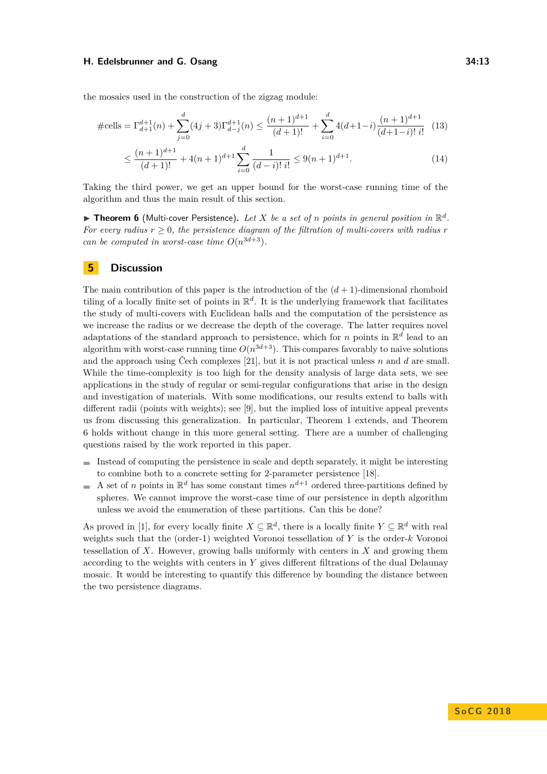the mosaics used in the construction of the zigzag module:

$$
\#\text{cells} = \Gamma_{d+1}^{d+1}(n) + \sum_{j=0}^{d} (4j+3)\Gamma_{d-j}^{d+1}(n) \le \frac{(n+1)^{d+1}}{(d+1)!} + \sum_{i=0}^{d} 4(d+1-i)\frac{(n+1)^{d+1}}{(d+1-i)!i!} \tag{13}
$$

$$
\leq \frac{(n+1)^{d+1}}{(d+1)!} + 4(n+1)^{d+1} \sum_{i=0}^{d} \frac{1}{(d-i)! \, i!} \leq 9(n+1)^{d+1}.\tag{14}
$$

Taking the third power, we get an upper bound for the worst-case running time of the algorithm and thus the main result of this section.

<span id="page-12-1"></span> $\triangleright$  **Theorem 6** (Multi-cover Persistence). Let *X* be a set of *n* points in general position in  $\mathbb{R}^d$ . *For every radius*  $r > 0$ , the persistence diagram of the filtration of multi-covers with radius r *can be computed in worst-case time*  $O(n^{3d+3})$ *.* 

### <span id="page-12-0"></span>**5 Discussion**

The main contribution of this paper is the introduction of the  $(d+1)$ -dimensional rhomboid tiling of a locally finite set of points in  $\mathbb{R}^d$ . It is the underlying framework that facilitates the study of multi-covers with Euclidean balls and the computation of the persistence as we increase the radius or we decrease the depth of the coverage. The latter requires novel adaptations of the standard approach to persistence, which for *n* points in  $\mathbb{R}^d$  lead to an algorithm with worst-case running time  $O(n^{3d+3})$ . This compares favorably to naive solutions and the approach using Čech complexes [\[21\]](#page-13-11), but it is not practical unless *n* and *d* are small. While the time-complexity is too high for the density analysis of large data sets, we see applications in the study of regular or semi-regular configurations that arise in the design and investigation of materials. With some modifications, our results extend to balls with different radii (points with weights); see [\[9\]](#page-13-19), but the implied loss of intuitive appeal prevents us from discussing this generalization. In particular, Theorem [1](#page-2-1) extends, and Theorem [6](#page-12-1) holds without change in this more general setting. There are a number of challenging questions raised by the work reported in this paper.

- Instead of computing the persistence in scale and depth separately, it might be interesting  $\equiv$ to combine both to a concrete setting for 2-parameter persistence [\[18\]](#page-13-20).
- A set of *n* points in  $\mathbb{R}^d$  has some constant times  $n^{d+1}$  ordered three-partitions defined by  $\rightarrow$ spheres. We cannot improve the worst-case time of our persistence in depth algorithm unless we avoid the enumeration of these partitions. Can this be done?

As proved in [\[1\]](#page-13-21), for every locally finite  $X \subseteq \mathbb{R}^d$ , there is a locally finite  $Y \subseteq \mathbb{R}^d$  with real weights such that the (order-1) weighted Voronoi tessellation of *Y* is the order-*k* Voronoi tessellation of *X*. However, growing balls uniformly with centers in *X* and growing them according to the weights with centers in *Y* gives different filtrations of the dual Delaunay mosaic. It would be interesting to quantify this difference by bounding the distance between the two persistence diagrams.